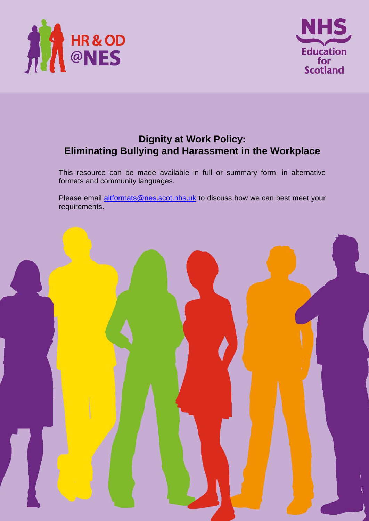



# **Dignity at Work Policy: Eliminating Bullying and Harassment in the Workplace**

This resource can be made available in full or summary form, in alternative formats and community languages.

Please email altformats@nes.scot.nhs.uk to discuss how we can best meet your requirements.

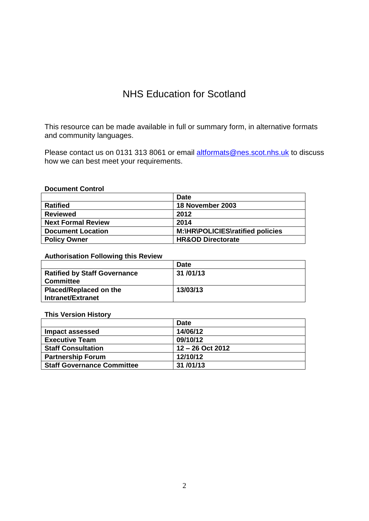# NHS Education for Scotland

This resource can be made available in full or summary form, in alternative formats and community languages.

Please contact us on 0131 313 8061 or email altformats@nes.scot.nhs.uk to discuss how we can best meet your requirements.

#### **Document Control**

|                           | <b>Date</b>                      |
|---------------------------|----------------------------------|
| <b>Ratified</b>           | 18 November 2003                 |
| <b>Reviewed</b>           | 2012                             |
| <b>Next Formal Review</b> | 2014                             |
| <b>Document Location</b>  | M:\HR\POLICIES\ratified policies |
| <b>Policy Owner</b>       | <b>HR&amp;OD Directorate</b>     |

#### **Authorisation Following this Review**

|                                     | <b>Date</b> |
|-------------------------------------|-------------|
| <b>Ratified by Staff Governance</b> | 31/01/13    |
| <b>Committee</b>                    |             |
| <b>Placed/Replaced on the</b>       | 13/03/13    |
| Intranet/Extranet                   |             |

#### **This Version History**

|                                   | <b>Date</b>      |
|-----------------------------------|------------------|
| <b>Impact assessed</b>            | 14/06/12         |
| <b>Executive Team</b>             | 09/10/12         |
| <b>Staff Consultation</b>         | 12 – 26 Oct 2012 |
| <b>Partnership Forum</b>          | 12/10/12         |
| <b>Staff Governance Committee</b> | 31/01/13         |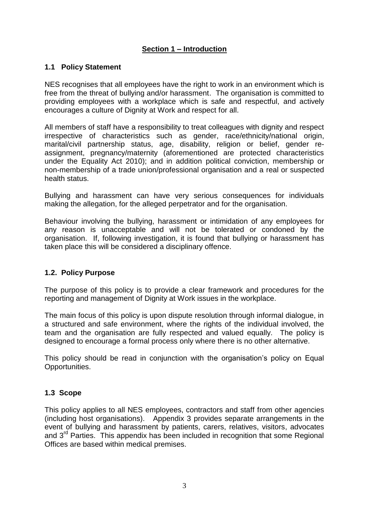## **Section 1 – Introduction**

## **1.1 Policy Statement**

NES recognises that all employees have the right to work in an environment which is free from the threat of bullying and/or harassment. The organisation is committed to providing employees with a workplace which is safe and respectful, and actively encourages a culture of Dignity at Work and respect for all.

All members of staff have a responsibility to treat colleagues with dignity and respect irrespective of characteristics such as gender, race/ethnicity/national origin, marital/civil partnership status, age, disability, religion or belief, gender reassignment, pregnancy/maternity (aforementioned are protected characteristics under the Equality Act 2010); and in addition political conviction, membership or non-membership of a trade union/professional organisation and a real or suspected health status.

Bullying and harassment can have very serious consequences for individuals making the allegation, for the alleged perpetrator and for the organisation.

Behaviour involving the bullying, harassment or intimidation of any employees for any reason is unacceptable and will not be tolerated or condoned by the organisation. If, following investigation, it is found that bullying or harassment has taken place this will be considered a disciplinary offence.

## **1.2. Policy Purpose**

The purpose of this policy is to provide a clear framework and procedures for the reporting and management of Dignity at Work issues in the workplace.

The main focus of this policy is upon dispute resolution through informal dialogue, in a structured and safe environment, where the rights of the individual involved, the team and the organisation are fully respected and valued equally. The policy is designed to encourage a formal process only where there is no other alternative.

This policy should be read in conjunction with the organisation's policy on Equal Opportunities.

## **1.3 Scope**

This policy applies to all NES employees, contractors and staff from other agencies (including host organisations). Appendix 3 provides separate arrangements in the event of bullying and harassment by patients, carers, relatives, visitors, advocates and  $3<sup>rd</sup>$  Parties. This appendix has been included in recognition that some Regional Offices are based within medical premises.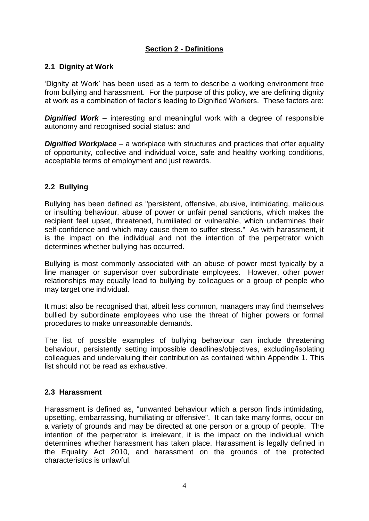## **Section 2 - Definitions**

## **2.1 Dignity at Work**

'Dignity at Work' has been used as a term to describe a working environment free from bullying and harassment. For the purpose of this policy, we are defining dignity at work as a combination of factor's leading to Dignified Workers. These factors are:

*Dignified Work* – interesting and meaningful work with a degree of responsible autonomy and recognised social status: and

*Dignified Workplace* – a workplace with structures and practices that offer equality of opportunity, collective and individual voice, safe and healthy working conditions, acceptable terms of employment and just rewards.

## **2.2 Bullying**

Bullying has been defined as "persistent, offensive, abusive, intimidating, malicious or insulting behaviour, abuse of power or unfair penal sanctions, which makes the recipient feel upset, threatened, humiliated or vulnerable, which undermines their self-confidence and which may cause them to suffer stress." As with harassment, it is the impact on the individual and not the intention of the perpetrator which determines whether bullying has occurred.

Bullying is most commonly associated with an abuse of power most typically by a line manager or supervisor over subordinate employees. However, other power relationships may equally lead to bullying by colleagues or a group of people who may target one individual.

It must also be recognised that, albeit less common, managers may find themselves bullied by subordinate employees who use the threat of higher powers or formal procedures to make unreasonable demands.

The list of possible examples of bullying behaviour can include threatening behaviour, persistently setting impossible deadlines/objectives, excluding/isolating colleagues and undervaluing their contribution as contained within Appendix 1. This list should not be read as exhaustive.

## **2.3 Harassment**

Harassment is defined as, "unwanted behaviour which a person finds intimidating, upsetting, embarrassing, humiliating or offensive". It can take many forms, occur on a variety of grounds and may be directed at one person or a group of people. The intention of the perpetrator is irrelevant, it is the impact on the individual which determines whether harassment has taken place. Harassment is legally defined in the Equality Act 2010, and harassment on the grounds of the protected characteristics is unlawful.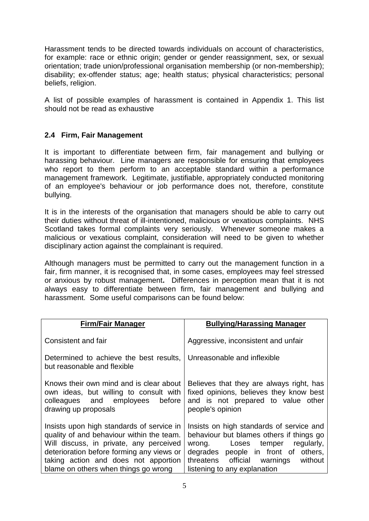Harassment tends to be directed towards individuals on account of characteristics, for example: race or ethnic origin; gender or gender reassignment, sex, or sexual orientation; trade union/professional organisation membership (or non-membership); disability; ex-offender status; age; health status; physical characteristics; personal beliefs, religion.

A list of possible examples of harassment is contained in Appendix 1. This list should not be read as exhaustive

## **2.4 Firm, Fair Management**

It is important to differentiate between firm, fair management and bullying or harassing behaviour. Line managers are responsible for ensuring that employees who report to them perform to an acceptable standard within a performance management framework. Legitimate, justifiable, appropriately conducted monitoring of an employee's behaviour or job performance does not, therefore, constitute bullying.

It is in the interests of the organisation that managers should be able to carry out their duties without threat of ill-intentioned, malicious or vexatious complaints. NHS Scotland takes formal complaints very seriously. Whenever someone makes a malicious or vexatious complaint, consideration will need to be given to whether disciplinary action against the complainant is required.

Although managers must be permitted to carry out the management function in a fair, firm manner, it is recognised that, in some cases, employees may feel stressed or anxious by robust management**.** Differences in perception mean that it is not always easy to differentiate between firm, fair management and bullying and harassment. Some useful comparisons can be found below:

| <b>Firm/Fair Manager</b>                                                                                                                                                                                                                                       | <b>Bullying/Harassing Manager</b>                                                                                                                                                                                                             |  |  |  |  |  |
|----------------------------------------------------------------------------------------------------------------------------------------------------------------------------------------------------------------------------------------------------------------|-----------------------------------------------------------------------------------------------------------------------------------------------------------------------------------------------------------------------------------------------|--|--|--|--|--|
| Consistent and fair                                                                                                                                                                                                                                            | Aggressive, inconsistent and unfair                                                                                                                                                                                                           |  |  |  |  |  |
| Determined to achieve the best results,<br>but reasonable and flexible                                                                                                                                                                                         | Unreasonable and inflexible                                                                                                                                                                                                                   |  |  |  |  |  |
| Knows their own mind and is clear about<br>own ideas, but willing to consult with<br>colleagues and employees<br>before<br>drawing up proposals                                                                                                                | Believes that they are always right, has<br>fixed opinions, believes they know best<br>and is not prepared to value other<br>people's opinion                                                                                                 |  |  |  |  |  |
| Insists upon high standards of service in<br>quality of and behaviour within the team.<br>Will discuss, in private, any perceived<br>deterioration before forming any views or<br>taking action and does not apportion<br>blame on others when things go wrong | Insists on high standards of service and<br>behaviour but blames others if things go<br>regularly,<br>wrong.<br>Loses temper<br>degrades people in front of others,<br>threatens official warnings<br>without<br>listening to any explanation |  |  |  |  |  |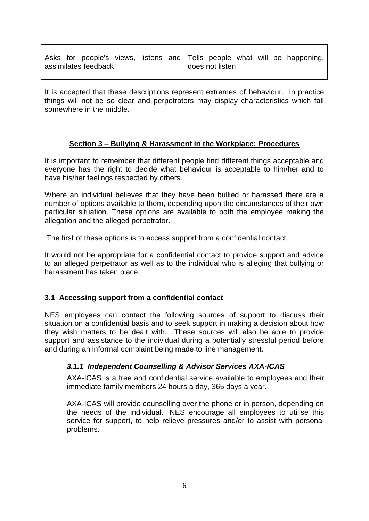|                      |  |  |                 |  |  |  |  |  |  | Asks for people's views, listens and Tells people what will be happening, |
|----------------------|--|--|-----------------|--|--|--|--|--|--|---------------------------------------------------------------------------|
| assimilates feedback |  |  | does not listen |  |  |  |  |  |  |                                                                           |

It is accepted that these descriptions represent extremes of behaviour. In practice things will not be so clear and perpetrators may display characteristics which fall somewhere in the middle.

## **Section 3 – Bullying & Harassment in the Workplace: Procedures**

It is important to remember that different people find different things acceptable and everyone has the right to decide what behaviour is acceptable to him/her and to have his/her feelings respected by others.

Where an individual believes that they have been bullied or harassed there are a number of options available to them, depending upon the circumstances of their own particular situation. These options are available to both the employee making the allegation and the alleged perpetrator.

The first of these options is to access support from a confidential contact.

It would not be appropriate for a confidential contact to provide support and advice to an alleged perpetrator as well as to the individual who is alleging that bullying or harassment has taken place.

## **3.1 Accessing support from a confidential contact**

NES employees can contact the following sources of support to discuss their situation on a confidential basis and to seek support in making a decision about how they wish matters to be dealt with. These sources will also be able to provide support and assistance to the individual during a potentially stressful period before and during an informal complaint being made to line management.

## *3.1.1 Independent Counselling & Advisor Services AXA-ICAS*

AXA-ICAS is a free and confidential service available to employees and their immediate family members 24 hours a day, 365 days a year.

AXA-ICAS will provide counselling over the phone or in person, depending on the needs of the individual. NES encourage all employees to utilise this service for support, to help relieve pressures and/or to assist with personal problems.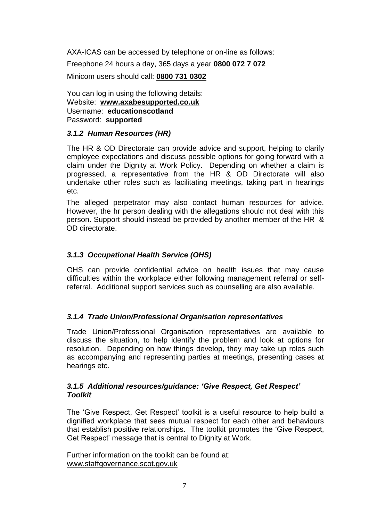AXA-ICAS can be accessed by telephone or on-line as follows: Freephone 24 hours a day, 365 days a year **0800 072 7 072** Minicom users should call: **[0800 731 0302](tel:08007310302)**

You can log in using the following details: Website: **[www.axabesupported.co.uk](http://www.axabesupported.co.uk/)** Username: **educationscotland** Password: **supported**

## *3.1.2 Human Resources (HR)*

The HR & OD Directorate can provide advice and support, helping to clarify employee expectations and discuss possible options for going forward with a claim under the Dignity at Work Policy. Depending on whether a claim is progressed, a representative from the HR & OD Directorate will also undertake other roles such as facilitating meetings, taking part in hearings etc.

The alleged perpetrator may also contact human resources for advice. However, the hr person dealing with the allegations should not deal with this person. Support should instead be provided by another member of the HR & OD directorate.

## *3.1.3 Occupational Health Service (OHS)*

OHS can provide confidential advice on health issues that may cause difficulties within the workplace either following management referral or selfreferral. Additional support services such as counselling are also available.

## *3.1.4 Trade Union/Professional Organisation representatives*

Trade Union/Professional Organisation representatives are available to discuss the situation, to help identify the problem and look at options for resolution. Depending on how things develop, they may take up roles such as accompanying and representing parties at meetings, presenting cases at hearings etc.

## *3.1.5 Additional resources/guidance: 'Give Respect, Get Respect' Toolkit*

The 'Give Respect, Get Respect' toolkit is a useful resource to help build a dignified workplace that sees mutual respect for each other and behaviours that establish positive relationships. The toolkit promotes the 'Give Respect, Get Respect' message that is central to Dignity at Work.

Further information on the toolkit can be found at: [www.staffgovernance.scot.gov.uk](http://www.staffgovernance.scot.gov.uk/)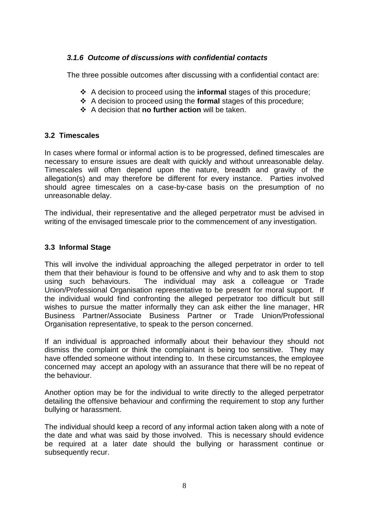## *3.1.6 Outcome of discussions with confidential contacts*

The three possible outcomes after discussing with a confidential contact are:

- A decision to proceed using the **informal** stages of this procedure;
- A decision to proceed using the **formal** stages of this procedure;
- A decision that **no further action** will be taken.

# **3.2 Timescales**

In cases where formal or informal action is to be progressed, defined timescales are necessary to ensure issues are dealt with quickly and without unreasonable delay. Timescales will often depend upon the nature, breadth and gravity of the allegation(s) and may therefore be different for every instance. Parties involved should agree timescales on a case-by-case basis on the presumption of no unreasonable delay.

The individual, their representative and the alleged perpetrator must be advised in writing of the envisaged timescale prior to the commencement of any investigation.

# **3.3 Informal Stage**

This will involve the individual approaching the alleged perpetrator in order to tell them that their behaviour is found to be offensive and why and to ask them to stop using such behaviours. The individual may ask a colleague or Trade Union/Professional Organisation representative to be present for moral support. If the individual would find confronting the alleged perpetrator too difficult but still wishes to pursue the matter informally they can ask either the line manager, HR Business Partner/Associate Business Partner or Trade Union/Professional Organisation representative, to speak to the person concerned.

If an individual is approached informally about their behaviour they should not dismiss the complaint or think the complainant is being too sensitive. They may have offended someone without intending to. In these circumstances, the employee concerned may accept an apology with an assurance that there will be no repeat of the behaviour.

Another option may be for the individual to write directly to the alleged perpetrator detailing the offensive behaviour and confirming the requirement to stop any further bullying or harassment.

The individual should keep a record of any informal action taken along with a note of the date and what was said by those involved. This is necessary should evidence be required at a later date should the bullying or harassment continue or subsequently recur.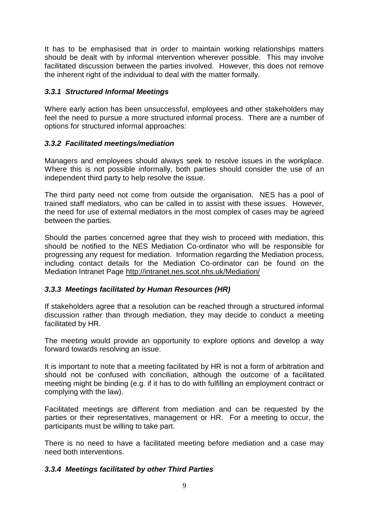It has to be emphasised that in order to maintain working relationships matters should be dealt with by informal intervention wherever possible. This may involve facilitated discussion between the parties involved. However, this does not remove the inherent right of the individual to deal with the matter formally.

## *3.3.1 Structured Informal Meetings*

Where early action has been unsuccessful, employees and other stakeholders may feel the need to pursue a more structured informal process. There are a number of options for structured informal approaches:

## *3.3.2 Facilitated meetings/mediation*

Managers and employees should always seek to resolve issues in the workplace. Where this is not possible informally, both parties should consider the use of an independent third party to help resolve the issue.

The third party need not come from outside the organisation. NES has a pool of trained staff mediators, who can be called in to assist with these issues. However, the need for use of external mediators in the most complex of cases may be agreed between the parties.

Should the parties concerned agree that they wish to proceed with mediation, this should be notified to the NES Mediation Co-ordinator who will be responsible for progressing any request for mediation. Information regarding the Mediation process, including contact details for the Mediation Co-ordinator can be found on the Mediation Intranet Page<http://intranet.nes.scot.nhs.uk/Mediation/>

## *3.3.3 Meetings facilitated by Human Resources (HR)*

If stakeholders agree that a resolution can be reached through a structured informal discussion rather than through mediation, they may decide to conduct a meeting facilitated by HR.

The meeting would provide an opportunity to explore options and develop a way forward towards resolving an issue.

It is important to note that a meeting facilitated by HR is not a form of arbitration and should not be confused with conciliation, although the outcome of a facilitated meeting might be binding (e.g. if it has to do with fulfilling an employment contract or complying with the law).

Facilitated meetings are different from mediation and can be requested by the parties or their representatives, management or HR. For a meeting to occur, the participants must be willing to take part.

There is no need to have a facilitated meeting before mediation and a case may need both interventions.

## *3.3.4 Meetings facilitated by other Third Parties*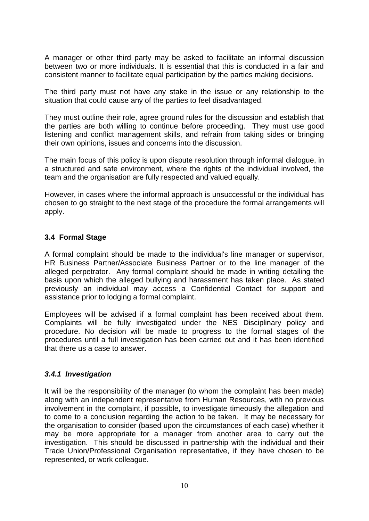A manager or other third party may be asked to facilitate an informal discussion between two or more individuals. It is essential that this is conducted in a fair and consistent manner to facilitate equal participation by the parties making decisions.

The third party must not have any stake in the issue or any relationship to the situation that could cause any of the parties to feel disadvantaged.

They must outline their role, agree ground rules for the discussion and establish that the parties are both willing to continue before proceeding. They must use good listening and conflict management skills, and refrain from taking sides or bringing their own opinions, issues and concerns into the discussion.

The main focus of this policy is upon dispute resolution through informal dialogue, in a structured and safe environment, where the rights of the individual involved, the team and the organisation are fully respected and valued equally.

However, in cases where the informal approach is unsuccessful or the individual has chosen to go straight to the next stage of the procedure the formal arrangements will apply.

## **3.4 Formal Stage**

A formal complaint should be made to the individual's line manager or supervisor, HR Business Partner/Associate Business Partner or to the line manager of the alleged perpetrator. Any formal complaint should be made in writing detailing the basis upon which the alleged bullying and harassment has taken place. As stated previously an individual may access a Confidential Contact for support and assistance prior to lodging a formal complaint.

Employees will be advised if a formal complaint has been received about them. Complaints will be fully investigated under the NES Disciplinary policy and procedure. No decision will be made to progress to the formal stages of the procedures until a full investigation has been carried out and it has been identified that there us a case to answer.

## *3.4.1 Investigation*

It will be the responsibility of the manager (to whom the complaint has been made) along with an independent representative from Human Resources, with no previous involvement in the complaint, if possible, to investigate timeously the allegation and to come to a conclusion regarding the action to be taken. It may be necessary for the organisation to consider (based upon the circumstances of each case) whether it may be more appropriate for a manager from another area to carry out the investigation. This should be discussed in partnership with the individual and their Trade Union/Professional Organisation representative, if they have chosen to be represented, or work colleague.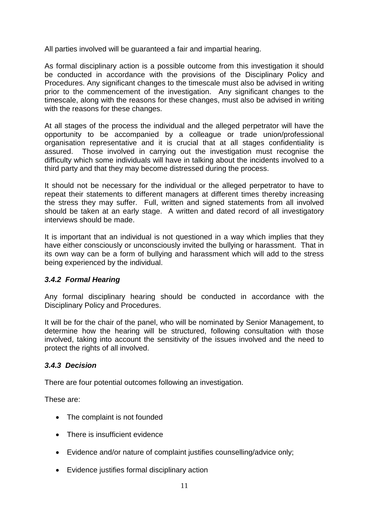All parties involved will be guaranteed a fair and impartial hearing.

As formal disciplinary action is a possible outcome from this investigation it should be conducted in accordance with the provisions of the Disciplinary Policy and Procedures. Any significant changes to the timescale must also be advised in writing prior to the commencement of the investigation. Any significant changes to the timescale, along with the reasons for these changes, must also be advised in writing with the reasons for these changes.

At all stages of the process the individual and the alleged perpetrator will have the opportunity to be accompanied by a colleague or trade union/professional organisation representative and it is crucial that at all stages confidentiality is assured. Those involved in carrying out the investigation must recognise the difficulty which some individuals will have in talking about the incidents involved to a third party and that they may become distressed during the process.

It should not be necessary for the individual or the alleged perpetrator to have to repeat their statements to different managers at different times thereby increasing the stress they may suffer. Full, written and signed statements from all involved should be taken at an early stage. A written and dated record of all investigatory interviews should be made.

It is important that an individual is not questioned in a way which implies that they have either consciously or unconsciously invited the bullying or harassment. That in its own way can be a form of bullying and harassment which will add to the stress being experienced by the individual.

## *3.4.2 Formal Hearing*

Any formal disciplinary hearing should be conducted in accordance with the Disciplinary Policy and Procedures.

It will be for the chair of the panel, who will be nominated by Senior Management, to determine how the hearing will be structured, following consultation with those involved, taking into account the sensitivity of the issues involved and the need to protect the rights of all involved.

## *3.4.3 Decision*

There are four potential outcomes following an investigation.

These are:

- The complaint is not founded
- There is insufficient evidence
- Evidence and/or nature of complaint justifies counselling/advice only;
- Evidence justifies formal disciplinary action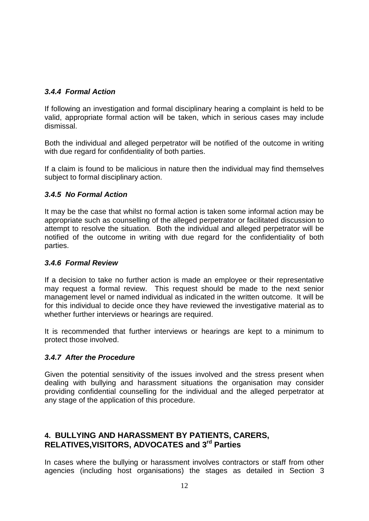# *3.4.4 Formal Action*

If following an investigation and formal disciplinary hearing a complaint is held to be valid, appropriate formal action will be taken, which in serious cases may include dismissal.

Both the individual and alleged perpetrator will be notified of the outcome in writing with due regard for confidentiality of both parties.

If a claim is found to be malicious in nature then the individual may find themselves subject to formal disciplinary action.

## *3.4.5 No Formal Action*

It may be the case that whilst no formal action is taken some informal action may be appropriate such as counselling of the alleged perpetrator or facilitated discussion to attempt to resolve the situation. Both the individual and alleged perpetrator will be notified of the outcome in writing with due regard for the confidentiality of both parties.

## *3.4.6 Formal Review*

If a decision to take no further action is made an employee or their representative may request a formal review. This request should be made to the next senior management level or named individual as indicated in the written outcome. It will be for this individual to decide once they have reviewed the investigative material as to whether further interviews or hearings are required.

It is recommended that further interviews or hearings are kept to a minimum to protect those involved.

## *3.4.7 After the Procedure*

Given the potential sensitivity of the issues involved and the stress present when dealing with bullying and harassment situations the organisation may consider providing confidential counselling for the individual and the alleged perpetrator at any stage of the application of this procedure.

# **4. BULLYING AND HARASSMENT BY PATIENTS, CARERS, RELATIVES,VISITORS, ADVOCATES and 3rd Parties**

In cases where the bullying or harassment involves contractors or staff from other agencies (including host organisations) the stages as detailed in Section 3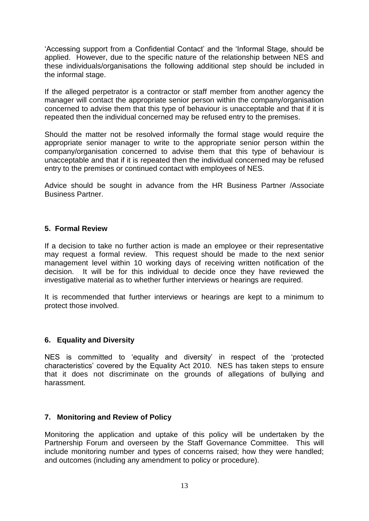'Accessing support from a Confidential Contact' and the 'Informal Stage, should be applied. However, due to the specific nature of the relationship between NES and these individuals/organisations the following additional step should be included in the informal stage.

If the alleged perpetrator is a contractor or staff member from another agency the manager will contact the appropriate senior person within the company/organisation concerned to advise them that this type of behaviour is unacceptable and that if it is repeated then the individual concerned may be refused entry to the premises.

Should the matter not be resolved informally the formal stage would require the appropriate senior manager to write to the appropriate senior person within the company/organisation concerned to advise them that this type of behaviour is unacceptable and that if it is repeated then the individual concerned may be refused entry to the premises or continued contact with employees of NES.

Advice should be sought in advance from the HR Business Partner /Associate Business Partner.

## **5. Formal Review**

If a decision to take no further action is made an employee or their representative may request a formal review. This request should be made to the next senior management level within 10 working days of receiving written notification of the decision. It will be for this individual to decide once they have reviewed the investigative material as to whether further interviews or hearings are required.

It is recommended that further interviews or hearings are kept to a minimum to protect those involved.

## **6. Equality and Diversity**

NES is committed to 'equality and diversity' in respect of the 'protected characteristics' covered by the Equality Act 2010. NES has taken steps to ensure that it does not discriminate on the grounds of allegations of bullying and harassment.

## **7. Monitoring and Review of Policy**

Monitoring the application and uptake of this policy will be undertaken by the Partnership Forum and overseen by the Staff Governance Committee. This will include monitoring number and types of concerns raised; how they were handled; and outcomes (including any amendment to policy or procedure).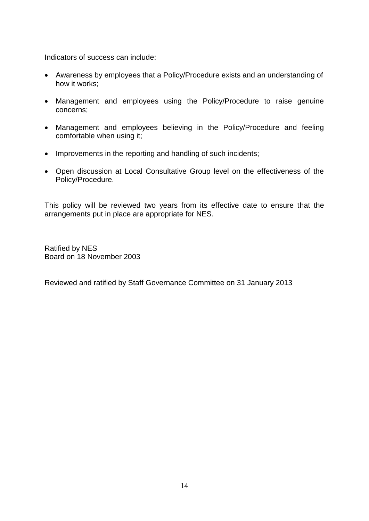Indicators of success can include:

- Awareness by employees that a Policy/Procedure exists and an understanding of how it works;
- Management and employees using the Policy/Procedure to raise genuine concerns;
- Management and employees believing in the Policy/Procedure and feeling comfortable when using it;
- Improvements in the reporting and handling of such incidents;
- Open discussion at Local Consultative Group level on the effectiveness of the Policy/Procedure.

This policy will be reviewed two years from its effective date to ensure that the arrangements put in place are appropriate for NES.

Ratified by NES Board on 18 November 2003

Reviewed and ratified by Staff Governance Committee on 31 January 2013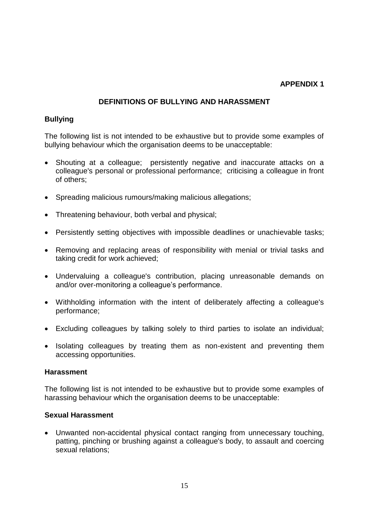## **APPENDIX 1**

# **DEFINITIONS OF BULLYING AND HARASSMENT**

## **Bullying**

The following list is not intended to be exhaustive but to provide some examples of bullying behaviour which the organisation deems to be unacceptable:

- Shouting at a colleague; persistently negative and inaccurate attacks on a colleague's personal or professional performance; criticising a colleague in front of others;
- Spreading malicious rumours/making malicious allegations;
- Threatening behaviour, both verbal and physical;
- Persistently setting objectives with impossible deadlines or unachievable tasks;
- Removing and replacing areas of responsibility with menial or trivial tasks and taking credit for work achieved;
- Undervaluing a colleague's contribution, placing unreasonable demands on and/or over-monitoring a colleague's performance.
- Withholding information with the intent of deliberately affecting a colleague's performance;
- Excluding colleagues by talking solely to third parties to isolate an individual;
- Isolating colleagues by treating them as non-existent and preventing them accessing opportunities.

## **Harassment**

The following list is not intended to be exhaustive but to provide some examples of harassing behaviour which the organisation deems to be unacceptable:

## **Sexual Harassment**

 Unwanted non-accidental physical contact ranging from unnecessary touching, patting, pinching or brushing against a colleague's body, to assault and coercing sexual relations;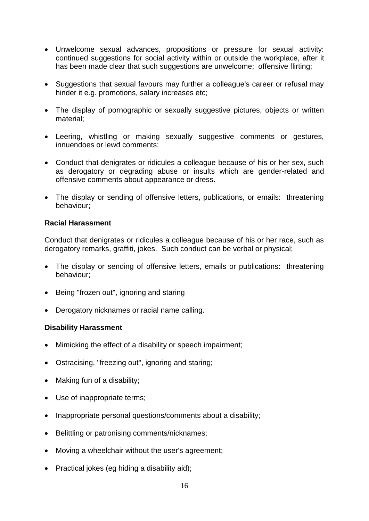- Unwelcome sexual advances, propositions or pressure for sexual activity: continued suggestions for social activity within or outside the workplace, after it has been made clear that such suggestions are unwelcome; offensive flirting;
- Suggestions that sexual favours may further a colleague's career or refusal may hinder it e.g. promotions, salary increases etc;
- The display of pornographic or sexually suggestive pictures, objects or written material;
- Leering, whistling or making sexually suggestive comments or gestures, innuendoes or lewd comments;
- Conduct that denigrates or ridicules a colleague because of his or her sex, such as derogatory or degrading abuse or insults which are gender-related and offensive comments about appearance or dress.
- The display or sending of offensive letters, publications, or emails: threatening behaviour;

## **Racial Harassment**

Conduct that denigrates or ridicules a colleague because of his or her race, such as derogatory remarks, graffiti, jokes. Such conduct can be verbal or physical;

- The display or sending of offensive letters, emails or publications: threatening behaviour;
- Being "frozen out", ignoring and staring
- Derogatory nicknames or racial name calling.

## **Disability Harassment**

- Mimicking the effect of a disability or speech impairment;
- Ostracising, "freezing out", ignoring and staring;
- Making fun of a disability;
- Use of inappropriate terms;
- Inappropriate personal questions/comments about a disability;
- Belittling or patronising comments/nicknames;
- Moving a wheelchair without the user's agreement;
- Practical jokes (eg hiding a disability aid);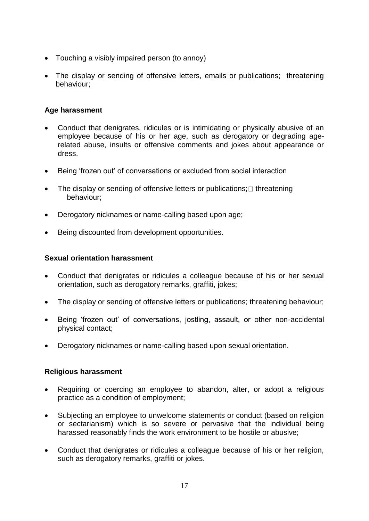- Touching a visibly impaired person (to annoy)
- The display or sending of offensive letters, emails or publications; threatening behaviour;

## **Age harassment**

- Conduct that denigrates, ridicules or is intimidating or physically abusive of an employee because of his or her age, such as derogatory or degrading agerelated abuse, insults or offensive comments and jokes about appearance or dress.
- Being 'frozen out' of conversations or excluded from social interaction
- The display or sending of offensive letters or publications;  $\square$  threatening behaviour;
- Derogatory nicknames or name-calling based upon age;
- Being discounted from development opportunities.

## **Sexual orientation harassment**

- Conduct that denigrates or ridicules a colleague because of his or her sexual orientation, such as derogatory remarks, graffiti, jokes;
- The display or sending of offensive letters or publications; threatening behaviour;
- Being 'frozen out' of conversations, jostling, assault, or other non-accidental physical contact;
- Derogatory nicknames or name-calling based upon sexual orientation.

## **Religious harassment**

- Requiring or coercing an employee to abandon, alter, or adopt a religious practice as a condition of employment;
- Subjecting an employee to unwelcome statements or conduct (based on religion or sectarianism) which is so severe or pervasive that the individual being harassed reasonably finds the work environment to be hostile or abusive;
- Conduct that denigrates or ridicules a colleague because of his or her religion, such as derogatory remarks, graffiti or jokes.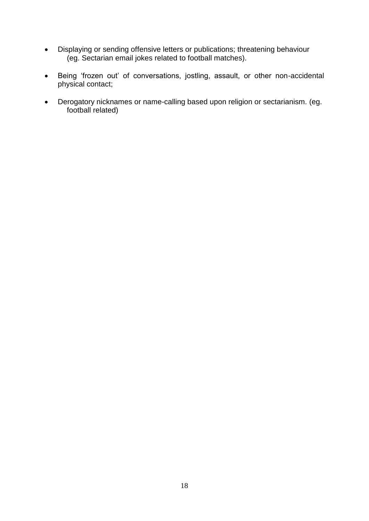- Displaying or sending offensive letters or publications; threatening behaviour (eg. Sectarian email jokes related to football matches).
- Being 'frozen out' of conversations, jostling, assault, or other non-accidental physical contact;
- Derogatory nicknames or name-calling based upon religion or sectarianism. (eg. football related)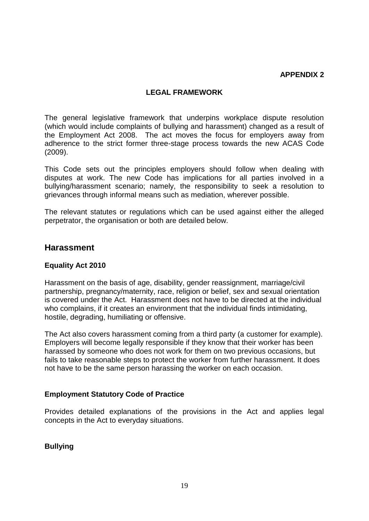#### **APPENDIX 2**

#### **LEGAL FRAMEWORK**

The general legislative framework that underpins workplace dispute resolution (which would include complaints of bullying and harassment) changed as a result of the Employment Act 2008. The act moves the focus for employers away from adherence to the strict former three-stage process towards the new ACAS Code (2009).

This Code sets out the principles employers should follow when dealing with disputes at work. The new Code has implications for all parties involved in a bullying/harassment scenario; namely, the responsibility to seek a resolution to grievances through informal means such as mediation, wherever possible.

The relevant statutes or regulations which can be used against either the alleged perpetrator, the organisation or both are detailed below.

## **Harassment**

## **Equality Act 2010**

Harassment on the basis of age, disability, gender reassignment, marriage/civil partnership, pregnancy/maternity, race, religion or belief, sex and sexual orientation is covered under the Act. Harassment does not have to be directed at the individual who complains, if it creates an environment that the individual finds intimidating, hostile, degrading, humiliating or offensive.

The Act also covers harassment coming from a third party (a customer for example). Employers will become legally responsible if they know that their worker has been harassed by someone who does not work for them on two previous occasions, but fails to take reasonable steps to protect the worker from further harassment. It does not have to be the same person harassing the worker on each occasion.

## **Employment Statutory Code of Practice**

Provides detailed explanations of the provisions in the Act and applies legal concepts in the Act to everyday situations.

## **Bullying**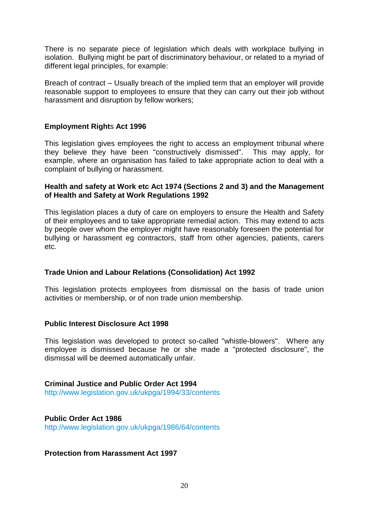There is no separate piece of legislation which deals with workplace bullying in isolation. Bullying might be part of discriminatory behaviour, or related to a myriad of different legal principles, for example:

Breach of contract – Usually breach of the implied term that an employer will provide reasonable support to employees to ensure that they can carry out their job without harassment and disruption by fellow workers;

## **Employment Right**s **Act 1996**

This legislation gives employees the right to access an employment tribunal where they believe they have been "constructively dismissed". This may apply, for example, where an organisation has failed to take appropriate action to deal with a complaint of bullying or harassment.

#### **Health and safety at Work etc Act 1974 (Sections 2 and 3) and the Management of Health and Safety at Work Regulations 1992**

This legislation places a duty of care on employers to ensure the Health and Safety of their employees and to take appropriate remedial action. This may extend to acts by people over whom the employer might have reasonably foreseen the potential for bullying or harassment eg contractors, staff from other agencies, patients, carers etc.

## **Trade Union and Labour Relations (Consolidation) Act 1992**

This legislation protects employees from dismissal on the basis of trade union activities or membership, or of non trade union membership.

## **Public Interest Disclosure Act 1998**

This legislation was developed to protect so-called "whistle-blowers". Where any employee is dismissed because he or she made a "protected disclosure", the dismissal will be deemed automatically unfair.

# **Criminal Justice and Public Order Act 1994**

http://www.legislation.gov.uk/ukpga/1994/33/contents

## **Public Order Act 1986**

http://www.legislation.gov.uk/ukpga/1986/64/contents

## **Protection from Harassment Act 1997**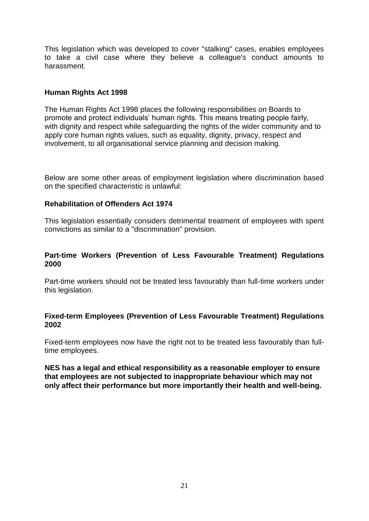This legislation which was developed to cover "stalking" cases, enables employees to take a civil case where they believe a colleague's conduct amounts to harassment.

## **Human Rights Act 1998**

The Human Rights Act 1998 places the following responsibilities on Boards to promote and protect individuals' human rights. This means treating people fairly, with dignity and respect while safeguarding the rights of the wider community and to apply core human rights values, such as equality, dignity, privacy, respect and involvement, to all organisational service planning and decision making.

Below are some other areas of employment legislation where discrimination based on the specified characteristic is unlawful:

## **Rehabilitation of Offenders Act 1974**

This legislation essentially considers detrimental treatment of employees with spent convictions as similar to a "discrimination" provision.

## **Part-time Workers (Prevention of Less Favourable Treatment) Regulations 2000**

Part-time workers should not be treated less favourably than full-time workers under this legislation.

## **Fixed-term Employees (Prevention of Less Favourable Treatment) Regulations 2002**

Fixed-term employees now have the right not to be treated less favourably than fulltime employees.

**NES has a legal and ethical responsibility as a reasonable employer to ensure that employees are not subjected to inappropriate behaviour which may not only affect their performance but more importantly their health and well-being.**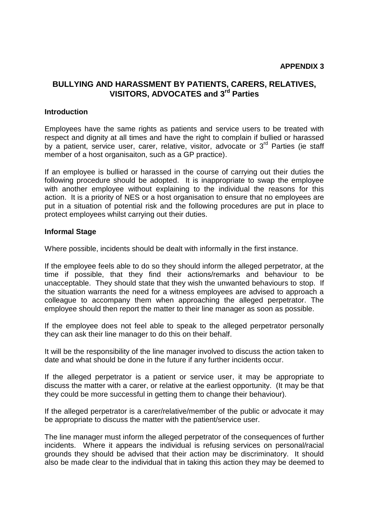# **BULLYING AND HARASSMENT BY PATIENTS, CARERS, RELATIVES, VISITORS, ADVOCATES and 3rd Parties**

#### **Introduction**

Employees have the same rights as patients and service users to be treated with respect and dignity at all times and have the right to complain if bullied or harassed by a patient, service user, carer, relative, visitor, advocate or 3<sup>rd</sup> Parties (ie staff member of a host organisaiton, such as a GP practice).

If an employee is bullied or harassed in the course of carrying out their duties the following procedure should be adopted. It is inappropriate to swap the employee with another employee without explaining to the individual the reasons for this action. It is a priority of NES or a host organisation to ensure that no employees are put in a situation of potential risk and the following procedures are put in place to protect employees whilst carrying out their duties.

#### **Informal Stage**

Where possible, incidents should be dealt with informally in the first instance.

If the employee feels able to do so they should inform the alleged perpetrator, at the time if possible, that they find their actions/remarks and behaviour to be unacceptable. They should state that they wish the unwanted behaviours to stop. If the situation warrants the need for a witness employees are advised to approach a colleague to accompany them when approaching the alleged perpetrator. The employee should then report the matter to their line manager as soon as possible.

If the employee does not feel able to speak to the alleged perpetrator personally they can ask their line manager to do this on their behalf.

It will be the responsibility of the line manager involved to discuss the action taken to date and what should be done in the future if any further incidents occur.

If the alleged perpetrator is a patient or service user, it may be appropriate to discuss the matter with a carer, or relative at the earliest opportunity. (It may be that they could be more successful in getting them to change their behaviour).

If the alleged perpetrator is a carer/relative/member of the public or advocate it may be appropriate to discuss the matter with the patient/service user.

The line manager must inform the alleged perpetrator of the consequences of further incidents. Where it appears the individual is refusing services on personal/racial grounds they should be advised that their action may be discriminatory. It should also be made clear to the individual that in taking this action they may be deemed to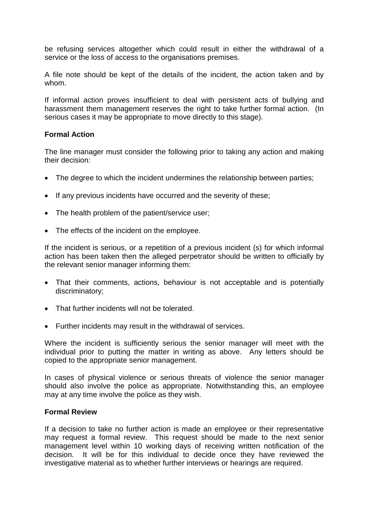be refusing services altogether which could result in either the withdrawal of a service or the loss of access to the organisations premises.

A file note should be kept of the details of the incident, the action taken and by whom.

If informal action proves insufficient to deal with persistent acts of bullying and harassment them management reserves the right to take further formal action. (In serious cases it may be appropriate to move directly to this stage).

## **Formal Action**

The line manager must consider the following prior to taking any action and making their decision:

- The degree to which the incident undermines the relationship between parties;
- If any previous incidents have occurred and the severity of these;
- The health problem of the patient/service user;
- The effects of the incident on the employee.

If the incident is serious, or a repetition of a previous incident (s) for which informal action has been taken then the alleged perpetrator should be written to officially by the relevant senior manager informing them:

- That their comments, actions, behaviour is not acceptable and is potentially discriminatory;
- That further incidents will not be tolerated.
- Further incidents may result in the withdrawal of services.

Where the incident is sufficiently serious the senior manager will meet with the individual prior to putting the matter in writing as above. Any letters should be copied to the appropriate senior management.

In cases of physical violence or serious threats of violence the senior manager should also involve the police as appropriate. Notwithstanding this, an employee may at any time involve the police as they wish.

#### **Formal Review**

If a decision to take no further action is made an employee or their representative may request a formal review. This request should be made to the next senior management level within 10 working days of receiving written notification of the decision. It will be for this individual to decide once they have reviewed the investigative material as to whether further interviews or hearings are required.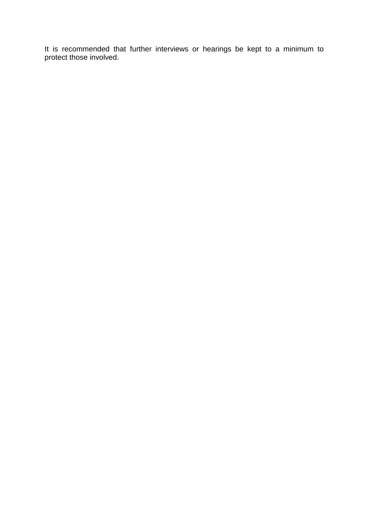It is recommended that further interviews or hearings be kept to a minimum to protect those involved.